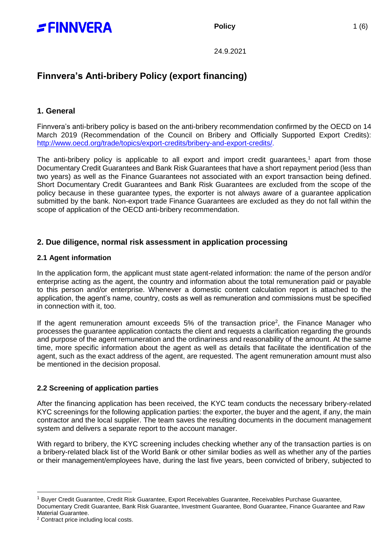

24.9.2021

# **Finnvera's Anti-bribery Policy (export financing)**

# **1. General**

Finnvera's anti-bribery policy is based on the anti-bribery recommendation confirmed by the OECD on 14 March 2019 (Recommendation of the Council on Bribery and Officially Supported Export Credits): [http://www.oecd.org/trade/topics/export-credits/bribery-and-export-credits/.](http://www.oecd.org/trade/topics/export-credits/bribery-and-export-credits/)

The anti-bribery policy is applicable to all export and import credit guarantees, $1$  apart from those Documentary Credit Guarantees and Bank Risk Guarantees that have a short repayment period (less than two years) as well as the Finance Guarantees not associated with an export transaction being defined. Short Documentary Credit Guarantees and Bank Risk Guarantees are excluded from the scope of the policy because in these guarantee types, the exporter is not always aware of a guarantee application submitted by the bank. Non-export trade Finance Guarantees are excluded as they do not fall within the scope of application of the OECD anti-bribery recommendation.

# **2. Due diligence, normal risk assessment in application processing**

## **2.1 Agent information**

In the application form, the applicant must state agent-related information: the name of the person and/or enterprise acting as the agent, the country and information about the total remuneration paid or payable to this person and/or enterprise. Whenever a domestic content calculation report is attached to the application, the agent's name, country, costs as well as remuneration and commissions must be specified in connection with it, too.

If the agent remuneration amount exceeds  $5%$  of the transaction price<sup>2</sup>, the Finance Manager who processes the guarantee application contacts the client and requests a clarification regarding the grounds and purpose of the agent remuneration and the ordinariness and reasonability of the amount. At the same time, more specific information about the agent as well as details that facilitate the identification of the agent, such as the exact address of the agent, are requested. The agent remuneration amount must also be mentioned in the decision proposal.

# **2.2 Screening of application parties**

After the financing application has been received, the KYC team conducts the necessary bribery-related KYC screenings for the following application parties: the exporter, the buyer and the agent, if any, the main contractor and the local supplier. The team saves the resulting documents in the document management system and delivers a separate report to the account manager.

With regard to bribery, the KYC screening includes checking whether any of the transaction parties is on a bribery-related black list of the World Bank or other similar bodies as well as whether any of the parties or their management/employees have, during the last five years, been convicted of bribery, subjected to

-

<sup>1</sup> Buyer Credit Guarantee, Credit Risk Guarantee, Export Receivables Guarantee, Receivables Purchase Guarantee,

Documentary Credit Guarantee, Bank Risk Guarantee, Investment Guarantee, Bond Guarantee, Finance Guarantee and Raw Material Guarantee.

<sup>2</sup> Contract price including local costs.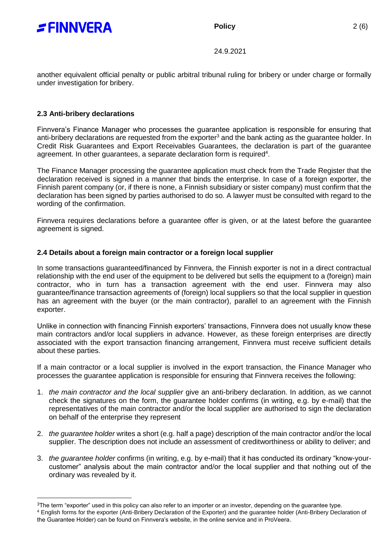

**Policy** 2 (6)

24.9.2021

another equivalent official penalty or public arbitral tribunal ruling for bribery or under charge or formally under investigation for bribery.

### **2.3 Anti-bribery declarations**

-

Finnvera's Finance Manager who processes the guarantee application is responsible for ensuring that anti-bribery declarations are requested from the exporter<sup>3</sup> and the bank acting as the guarantee holder. In Credit Risk Guarantees and Export Receivables Guarantees, the declaration is part of the guarantee agreement. In other guarantees, a separate declaration form is required<sup>4</sup>.

The Finance Manager processing the guarantee application must check from the Trade Register that the declaration received is signed in a manner that binds the enterprise. In case of a foreign exporter, the Finnish parent company (or, if there is none, a Finnish subsidiary or sister company) must confirm that the declaration has been signed by parties authorised to do so. A lawyer must be consulted with regard to the wording of the confirmation.

Finnvera requires declarations before a guarantee offer is given, or at the latest before the guarantee agreement is signed.

## **2.4 Details about a foreign main contractor or a foreign local supplier**

In some transactions guaranteed/financed by Finnvera, the Finnish exporter is not in a direct contractual relationship with the end user of the equipment to be delivered but sells the equipment to a (foreign) main contractor, who in turn has a transaction agreement with the end user. Finnvera may also guarantee/finance transaction agreements of (foreign) local suppliers so that the local supplier in question has an agreement with the buyer (or the main contractor), parallel to an agreement with the Finnish exporter.

Unlike in connection with financing Finnish exporters' transactions, Finnvera does not usually know these main contractors and/or local suppliers in advance. However, as these foreign enterprises are directly associated with the export transaction financing arrangement, Finnvera must receive sufficient details about these parties.

If a main contractor or a local supplier is involved in the export transaction, the Finance Manager who processes the guarantee application is responsible for ensuring that Finnvera receives the following:

- 1. *the main contractor and the local supplier* give an anti-bribery declaration. In addition, as we cannot check the signatures on the form, the guarantee holder confirms (in writing, e.g. by e-mail) that the representatives of the main contractor and/or the local supplier are authorised to sign the declaration on behalf of the enterprise they represent
- 2. *the guarantee holder* writes a short (e.g. half a page) description of the main contractor and/or the local supplier. The description does not include an assessment of creditworthiness or ability to deliver; and
- 3. *the guarantee holder* confirms (in writing, e.g. by e-mail) that it has conducted its ordinary "know-yourcustomer" analysis about the main contractor and/or the local supplier and that nothing out of the ordinary was revealed by it.

 $3$ The term "exporter" used in this policy can also refer to an importer or an investor, depending on the quarantee type.

<sup>4</sup> English forms for the exporter (Anti-Bribery Declaration of the Exporter) and the guarantee holder (Anti-Bribery Declaration of the Guarantee Holder) can be found on Finnvera's website, in the online service and in ProVeera.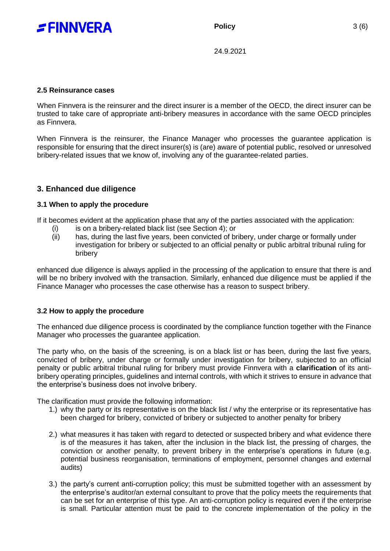

24.9.2021

#### **2.5 Reinsurance cases**

When Finnvera is the reinsurer and the direct insurer is a member of the OECD, the direct insurer can be trusted to take care of appropriate anti-bribery measures in accordance with the same OECD principles as Finnvera.

When Finnvera is the reinsurer, the Finance Manager who processes the guarantee application is responsible for ensuring that the direct insurer(s) is (are) aware of potential public, resolved or unresolved bribery-related issues that we know of, involving any of the guarantee-related parties.

# **3. Enhanced due diligence**

#### **3.1 When to apply the procedure**

If it becomes evident at the application phase that any of the parties associated with the application:

- (i) is on a bribery-related black list (see Section 4); or
- (ii) has, during the last five years, been convicted of bribery, under charge or formally under investigation for bribery or subjected to an official penalty or public arbitral tribunal ruling for bribery

enhanced due diligence is always applied in the processing of the application to ensure that there is and will be no bribery involved with the transaction. Similarly, enhanced due diligence must be applied if the Finance Manager who processes the case otherwise has a reason to suspect bribery.

#### **3.2 How to apply the procedure**

The enhanced due diligence process is coordinated by the compliance function together with the Finance Manager who processes the guarantee application.

The party who, on the basis of the screening, is on a black list or has been, during the last five years, convicted of bribery, under charge or formally under investigation for bribery, subjected to an official penalty or public arbitral tribunal ruling for bribery must provide Finnvera with a **clarification** of its antibribery operating principles, guidelines and internal controls, with which it strives to ensure in advance that the enterprise's business does not involve bribery.

The clarification must provide the following information:

- 1.) why the party or its representative is on the black list / why the enterprise or its representative has been charged for bribery, convicted of bribery or subjected to another penalty for bribery
- 2.) what measures it has taken with regard to detected or suspected bribery and what evidence there is of the measures it has taken, after the inclusion in the black list, the pressing of charges, the conviction or another penalty, to prevent bribery in the enterprise's operations in future (e.g. potential business reorganisation, terminations of employment, personnel changes and external audits)
- 3.) the party's current anti-corruption policy; this must be submitted together with an assessment by the enterprise's auditor/an external consultant to prove that the policy meets the requirements that can be set for an enterprise of this type. An anti-corruption policy is required even if the enterprise is small. Particular attention must be paid to the concrete implementation of the policy in the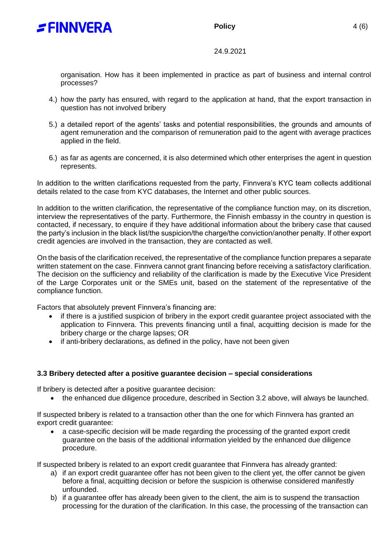



## 24.9.2021

organisation. How has it been implemented in practice as part of business and internal control processes?

- 4.) how the party has ensured, with regard to the application at hand, that the export transaction in question has not involved bribery
- 5.) a detailed report of the agents' tasks and potential responsibilities, the grounds and amounts of agent remuneration and the comparison of remuneration paid to the agent with average practices applied in the field.
- 6.) as far as agents are concerned, it is also determined which other enterprises the agent in question represents.

In addition to the written clarifications requested from the party, Finnvera's KYC team collects additional details related to the case from KYC databases, the Internet and other public sources.

In addition to the written clarification, the representative of the compliance function may, on its discretion, interview the representatives of the party. Furthermore, the Finnish embassy in the country in question is contacted, if necessary, to enquire if they have additional information about the bribery case that caused the party's inclusion in the black list/the suspicion/the charge/the conviction/another penalty. If other export credit agencies are involved in the transaction, they are contacted as well.

On the basis of the clarification received, the representative of the compliance function prepares a separate written statement on the case. Finnvera cannot grant financing before receiving a satisfactory clarification. The decision on the sufficiency and reliability of the clarification is made by the Executive Vice President of the Large Corporates unit or the SMEs unit, based on the statement of the representative of the compliance function.

Factors that absolutely prevent Finnvera's financing are:

- if there is a justified suspicion of bribery in the export credit guarantee project associated with the application to Finnvera. This prevents financing until a final, acquitting decision is made for the bribery charge or the charge lapses; OR
- if anti-bribery declarations, as defined in the policy, have not been given

# **3.3 Bribery detected after a positive guarantee decision – special considerations**

If bribery is detected after a positive guarantee decision:

• the enhanced due diligence procedure, described in Section 3.2 above, will always be launched.

If suspected bribery is related to a transaction other than the one for which Finnvera has granted an export credit guarantee:

 a case-specific decision will be made regarding the processing of the granted export credit guarantee on the basis of the additional information yielded by the enhanced due diligence procedure.

If suspected bribery is related to an export credit guarantee that Finnvera has already granted:

- a) if an export credit guarantee offer has not been given to the client yet, the offer cannot be given before a final, acquitting decision or before the suspicion is otherwise considered manifestly unfounded.
- b) if a guarantee offer has already been given to the client, the aim is to suspend the transaction processing for the duration of the clarification. In this case, the processing of the transaction can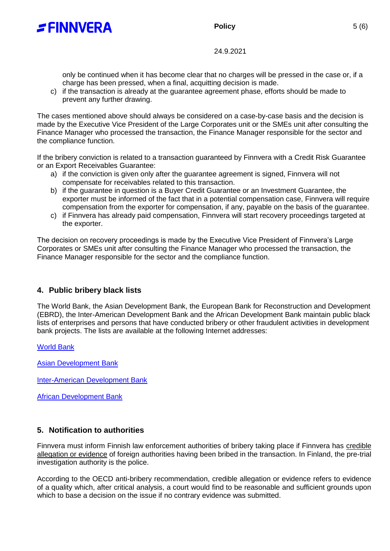

# **Policy** 5 (6)

24.9.2021

only be continued when it has become clear that no charges will be pressed in the case or, if a charge has been pressed, when a final, acquitting decision is made.

c) if the transaction is already at the guarantee agreement phase, efforts should be made to prevent any further drawing.

The cases mentioned above should always be considered on a case-by-case basis and the decision is made by the Executive Vice President of the Large Corporates unit or the SMEs unit after consulting the Finance Manager who processed the transaction, the Finance Manager responsible for the sector and the compliance function.

If the bribery conviction is related to a transaction guaranteed by Finnvera with a Credit Risk Guarantee or an Export Receivables Guarantee:

- a) if the conviction is given only after the guarantee agreement is signed, Finnvera will not compensate for receivables related to this transaction.
- b) if the guarantee in question is a Buyer Credit Guarantee or an Investment Guarantee, the exporter must be informed of the fact that in a potential compensation case, Finnvera will require compensation from the exporter for compensation, if any, payable on the basis of the guarantee.
- c) if Finnvera has already paid compensation, Finnvera will start recovery proceedings targeted at the exporter.

The decision on recovery proceedings is made by the Executive Vice President of Finnvera's Large Corporates or SMEs unit after consulting the Finance Manager who processed the transaction, the Finance Manager responsible for the sector and the compliance function.

# **4. Public bribery black lists**

The World Bank, the Asian Development Bank, the European Bank for Reconstruction and Development (EBRD), the Inter-American Development Bank and the African Development Bank maintain public black lists of enterprises and persons that have conducted bribery or other fraudulent activities in development bank projects. The lists are available at the following Internet addresses:

[World Bank](https://www.worldbank.org/en/projects-operations/procurement/debarred-firms)

[Asian Development Bank](http://lnadbg4.adb.org/oga0009p.nsf/sancALLPublic?OpenView&count=999)

[Inter-American Development Bank](https://www.iadb.org/en/transparency/sanctioned-firms-and-individuals)

[African Development Bank](https://www.afdb.org/en/projects-operations/debarment-and-sanctions-procedures)

# **5. Notification to authorities**

Finnvera must inform Finnish law enforcement authorities of bribery taking place if Finnvera has credible allegation or evidence of foreign authorities having been bribed in the transaction. In Finland, the pre-trial investigation authority is the police.

According to the OECD anti-bribery recommendation, credible allegation or evidence refers to evidence of a quality which, after critical analysis, a court would find to be reasonable and sufficient grounds upon which to base a decision on the issue if no contrary evidence was submitted.